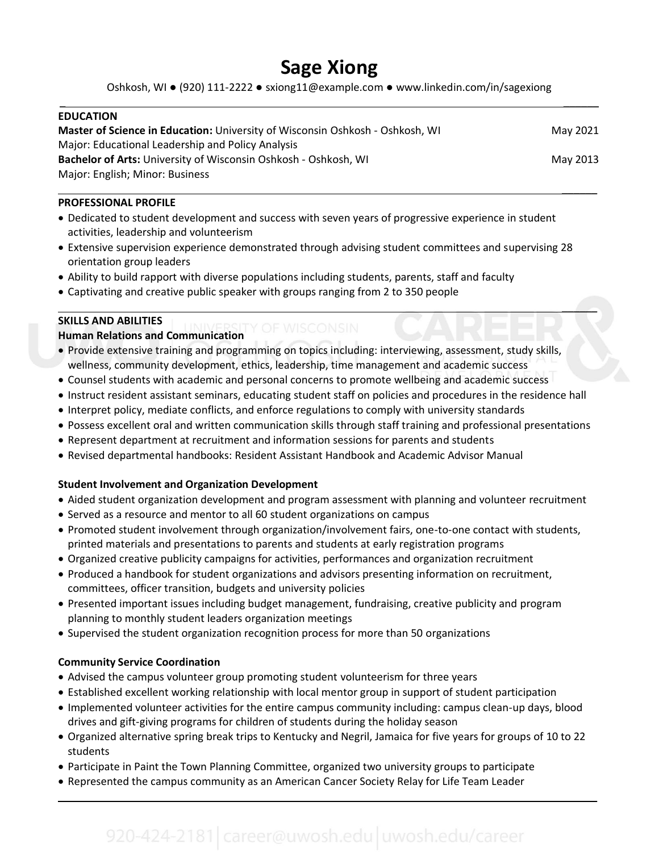# **Sage Xiong**

Oshkosh, WI ● (920) 111-2222 ● sxiong11@example.com ● www.linkedin.com/in/sagexiong \_ \_\_\_\_\_\_

| <b>EDUCATION</b>                                                              |          |
|-------------------------------------------------------------------------------|----------|
| Master of Science in Education: University of Wisconsin Oshkosh - Oshkosh, WI | May 2021 |
| Major: Educational Leadership and Policy Analysis                             |          |
| Bachelor of Arts: University of Wisconsin Oshkosh - Oshkosh, WI               | May 2013 |
| Major: English; Minor: Business                                               |          |

 $\overline{\phantom{a}}$ 

 $\sqrt{2}$ 

 $\overline{\phantom{a}}$ 

### **PROFESSIONAL PROFILE**

- Dedicated to student development and success with seven years of progressive experience in student activities, leadership and volunteerism
- Extensive supervision experience demonstrated through advising student committees and supervising 28 orientation group leaders
- Ability to build rapport with diverse populations including students, parents, staff and faculty
- Captivating and creative public speaker with groups ranging from 2 to 350 people

### **SKILLS AND ABILITIES**

**Human Relations and Communication**

- Provide extensive training and programming on topics including: interviewing, assessment, study skills, wellness, community development, ethics, leadership, time management and academic success
- Counsel students with academic and personal concerns to promote wellbeing and academic success
- Instruct resident assistant seminars, educating student staff on policies and procedures in the residence hall
- Interpret policy, mediate conflicts, and enforce regulations to comply with university standards
- Possess excellent oral and written communication skills through staff training and professional presentations
- Represent department at recruitment and information sessions for parents and students
- Revised departmental handbooks: Resident Assistant Handbook and Academic Advisor Manual

### **Student Involvement and Organization Development**

- Aided student organization development and program assessment with planning and volunteer recruitment
- Served as a resource and mentor to all 60 student organizations on campus
- Promoted student involvement through organization/involvement fairs, one-to-one contact with students, printed materials and presentations to parents and students at early registration programs
- Organized creative publicity campaigns for activities, performances and organization recruitment
- Produced a handbook for student organizations and advisors presenting information on recruitment, committees, officer transition, budgets and university policies
- Presented important issues including budget management, fundraising, creative publicity and program planning to monthly student leaders organization meetings
- Supervised the student organization recognition process for more than 50 organizations

### **Community Service Coordination**

- Advised the campus volunteer group promoting student volunteerism for three years
- Established excellent working relationship with local mentor group in support of student participation
- Implemented volunteer activities for the entire campus community including: campus clean-up days, blood drives and gift-giving programs for children of students during the holiday season
- Organized alternative spring break trips to Kentucky and Negril, Jamaica for five years for groups of 10 to 22 students
- Participate in Paint the Town Planning Committee, organized two university groups to participate
- Represented the campus community as an American Cancer Society Relay for Life Team Leader